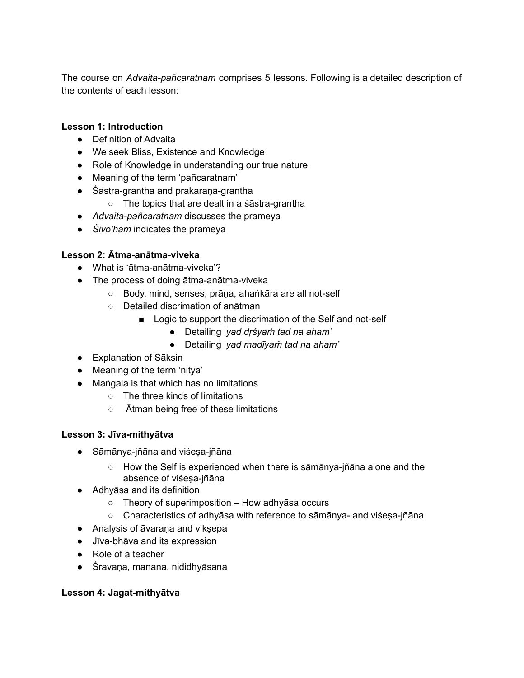The course on *Advaita-pañcaratnam* comprises 5 lessons. Following is a detailed description of the contents of each lesson:

### **Lesson 1: Introduction**

- Definition of Advaita
- We seek Bliss, Existence and Knowledge
- Role of Knowledge in understanding our true nature
- Meaning of the term 'pañcaratnam'
- Śāstra-grantha and prakaraṇa-grantha
	- The topics that are dealt in a śāstra-grantha
- *Advaita-pañcaratnam* discusses the prameya
- *Śivo'ham* indicates the prameya

# **Lesson 2: Ātma-anātma-viveka**

- What is 'ātma-anātma-viveka'?
- The process of doing ātma-anātma-viveka
	- Body, mind, senses, prāṇa, ahaṅkāra are all not-self
	- Detailed discrimation of anātman
		- Logic to support the discrimation of the Self and not-self
			- Detailing '*yad dṛśyaṁ tad na aham'*
			- Detailing '*yad madīyaṁ tad na aham'*
- Explanation of Sākṣin
- Meaning of the term 'nitya'
- Maṅgala is that which has no limitations
	- The three kinds of limitations
	- Ātman being free of these limitations

# **Lesson 3: Jīva-mithyātva**

- Sāmānya-jñāna and viśeṣa-jñāna
	- How the Self is experienced when there is sāmānya-jñāna alone and the absence of viśesa-jñāna
- Adhyāsa and its definition
	- $\circ$  Theory of superimposition How adhyāsa occurs
	- Characteristics of adhyāsa with reference to sāmānya- and viśeṣa-jñāna
- Analysis of āvaraṇa and vikṣepa
- Jīva-bhāva and its expression
- Role of a teacher
- Śravaṇa, manana, nididhyāsana

# **Lesson 4: Jagat-mithyātva**